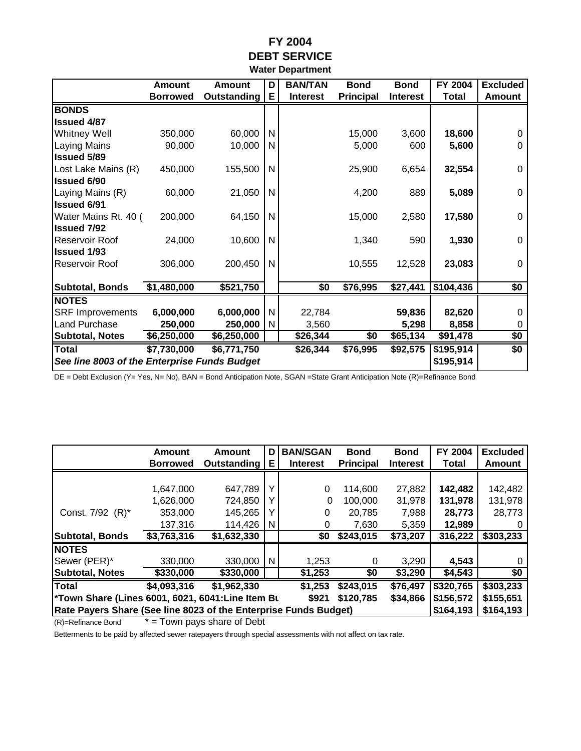## **FY 2004 DEBT SERVICE Water Department**

|                                                           | <b>Amount</b>   | <b>Amount</b>      | D | <b>BAN/TAN</b>  | <b>Bond</b>      | <b>Bond</b>     | FY 2004      | <b>Excluded</b> |
|-----------------------------------------------------------|-----------------|--------------------|---|-----------------|------------------|-----------------|--------------|-----------------|
|                                                           |                 | <b>Outstanding</b> | Е | <b>Interest</b> | <b>Principal</b> | <b>Interest</b> | <b>Total</b> | <b>Amount</b>   |
|                                                           | <b>Borrowed</b> |                    |   |                 |                  |                 |              |                 |
| <b>BONDS</b>                                              |                 |                    |   |                 |                  |                 |              |                 |
| <b>Issued 4/87</b>                                        |                 |                    |   |                 |                  |                 |              |                 |
| <b>Whitney Well</b>                                       | 350,000         | 60,000             | N |                 | 15,000           | 3,600           | 18,600       | 0               |
| <b>Laying Mains</b>                                       | 90,000          | 10,000             | N |                 | 5,000            | 600             | 5,600        | 0               |
| <b>Issued 5/89</b>                                        |                 |                    |   |                 |                  |                 |              |                 |
| Lost Lake Mains (R)                                       | 450,000         | 155,500            | N |                 | 25,900           | 6,654           | 32,554       | 0               |
| <b>Issued 6/90</b>                                        |                 |                    |   |                 |                  |                 |              |                 |
| Laying Mains (R)                                          | 60,000          | 21,050             | N |                 | 4,200            | 889             | 5,089        | 0               |
| <b>Issued 6/91</b>                                        |                 |                    |   |                 |                  |                 |              |                 |
| Water Mains Rt. 40 (                                      | 200,000         | 64,150             | N |                 | 15,000           | 2,580           | 17,580       | 0               |
| <b>Issued 7/92</b>                                        |                 |                    |   |                 |                  |                 |              |                 |
| Reservoir Roof                                            | 24,000          | 10,600             | N |                 | 1,340            | 590             | 1,930        | 0               |
| <b>Issued 1/93</b>                                        |                 |                    |   |                 |                  |                 |              |                 |
| Reservoir Roof                                            | 306,000         | 200,450            | N |                 | 10,555           | 12,528          | 23,083       | 0               |
|                                                           |                 |                    |   |                 |                  |                 |              |                 |
| <b>Subtotal, Bonds</b>                                    | \$1,480,000     | \$521,750          |   | \$0             | \$76,995         | \$27,441        | \$104,436    | \$0             |
| <b>NOTES</b>                                              |                 |                    |   |                 |                  |                 |              |                 |
| <b>SRF Improvements</b>                                   | 6,000,000       | 6,000,000          | N | 22,784          |                  | 59,836          | 82,620       | 0               |
| Land Purchase                                             | 250,000         | 250,000            | N | 3,560           |                  | 5,298           | 8,858        | 0               |
| <b>Subtotal, Notes</b>                                    | \$6,250,000     | \$6,250,000        |   | \$26,344        | \$0              | \$65,134        | \$91,478     | \$0             |
| <b>Total</b>                                              | \$7,730,000     | \$6,771,750        |   | \$26,344        | \$76,995         | \$92,575        | \$195,914    | \$0             |
| See line 8003 of the Enterprise Funds Budget<br>\$195,914 |                 |                    |   |                 |                  |                 |              |                 |

DE = Debt Exclusion (Y= Yes, N= No), BAN = Bond Anticipation Note, SGAN =State Grant Anticipation Note (R)=Refinance Bond

|                                                                                          | Amount<br><b>Borrowed</b> | Amount<br>Outstanding | D<br>Е       | <b>BAN/SGAN</b><br><b>Interest</b> | <b>Bond</b><br><b>Principal</b> | <b>Bond</b><br><b>Interest</b> | FY 2004<br><b>Total</b> | <b>Excluded</b><br>Amount |
|------------------------------------------------------------------------------------------|---------------------------|-----------------------|--------------|------------------------------------|---------------------------------|--------------------------------|-------------------------|---------------------------|
|                                                                                          |                           |                       |              |                                    |                                 |                                |                         |                           |
|                                                                                          | 1.647.000                 | 647,789               | $\checkmark$ | 0                                  | 114.600                         | 27,882                         | 142,482                 | 142,482                   |
|                                                                                          | 1,626,000                 | 724,850               |              | 0                                  | 100,000                         | 31,978                         | 131,978                 | 131,978                   |
| Const. 7/92 (R)*                                                                         | 353,000                   | 145,265               |              | 0                                  | 20,785                          | 7,988                          | 28,773                  | 28,773                    |
|                                                                                          | 137,316                   | 114,426               | N            | O)                                 | 7,630                           | 5,359                          | 12,989                  |                           |
| Subtotal, Bonds                                                                          | \$3,763,316               | \$1,632,330           |              | \$0                                | \$243,015                       | \$73,207                       | 316,222                 | \$303,233                 |
| <b>NOTES</b>                                                                             |                           |                       |              |                                    |                                 |                                |                         |                           |
| Sewer (PER)*                                                                             | 330,000                   | 330,000               | N            | 1,253                              | 0                               | 3,290                          | 4,543                   |                           |
| <b>Subtotal, Notes</b>                                                                   | \$330,000                 | \$330,000             |              | \$1,253                            | \$0                             | \$3,290                        | \$4,543                 | \$0                       |
| <b>Total</b>                                                                             | \$4,093,316               | \$1,962,330           |              | \$1,253                            | \$243,015                       | \$76,497                       | \$320,765               | \$303,233                 |
| <b>Town Share (Lines 6001, 6021, 6041:Line Item Bu</b><br>\$120,785<br>\$34,866<br>\$921 |                           |                       |              |                                    |                                 |                                | \$156,572               | \$155,651                 |
| Rate Payers Share (See line 8023 of the Enterprise Funds Budget)                         |                           |                       |              |                                    |                                 |                                | \$164,193               | \$164,193                 |

 $(R)$ =Refinance Bond  $* =$  Town pays share of Debt

Betterments to be paid by affected sewer ratepayers through special assessments with not affect on tax rate.